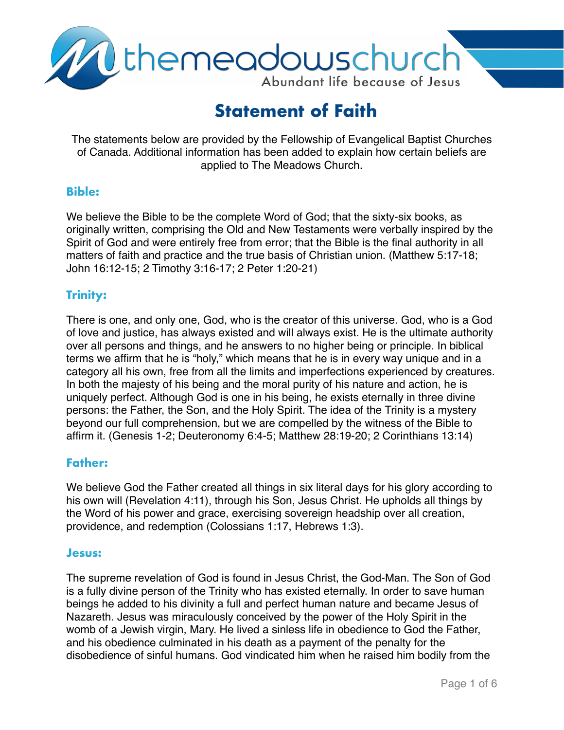

# **Statement of Faith**

The statements below are provided by the Fellowship of Evangelical Baptist Churches of Canada. Additional information has been added to explain how certain beliefs are applied to The Meadows Church.

#### **Bible:**

We believe the Bible to be the complete Word of God; that the sixty-six books, as originally written, comprising the Old and New Testaments were verbally inspired by the Spirit of God and were entirely free from error; that the Bible is the final authority in all matters of faith and practice and the true basis of Christian union. (Matthew 5:17-18; John 16:12-15; 2 Timothy 3:16-17; 2 Peter 1:20-21)

### **Trinity:**

There is one, and only one, God, who is the creator of this universe. God, who is a God of love and justice, has always existed and will always exist. He is the ultimate authority over all persons and things, and he answers to no higher being or principle. In biblical terms we affirm that he is "holy," which means that he is in every way unique and in a category all his own, free from all the limits and imperfections experienced by creatures. In both the majesty of his being and the moral purity of his nature and action, he is uniquely perfect. Although God is one in his being, he exists eternally in three divine persons: the Father, the Son, and the Holy Spirit. The idea of the Trinity is a mystery beyond our full comprehension, but we are compelled by the witness of the Bible to affirm it. (Genesis 1-2; Deuteronomy 6:4-5; Matthew 28:19-20; 2 Corinthians 13:14)

#### **Father:**

We believe God the Father created all things in six literal days for his glory according to his own will (Revelation 4:11), through his Son, Jesus Christ. He upholds all things by the Word of his power and grace, exercising sovereign headship over all creation, providence, and redemption (Colossians 1:17, Hebrews 1:3).

#### **Jesus:**

The supreme revelation of God is found in Jesus Christ, the God-Man. The Son of God is a fully divine person of the Trinity who has existed eternally. In order to save human beings he added to his divinity a full and perfect human nature and became Jesus of Nazareth. Jesus was miraculously conceived by the power of the Holy Spirit in the womb of a Jewish virgin, Mary. He lived a sinless life in obedience to God the Father, and his obedience culminated in his death as a payment of the penalty for the disobedience of sinful humans. God vindicated him when he raised him bodily from the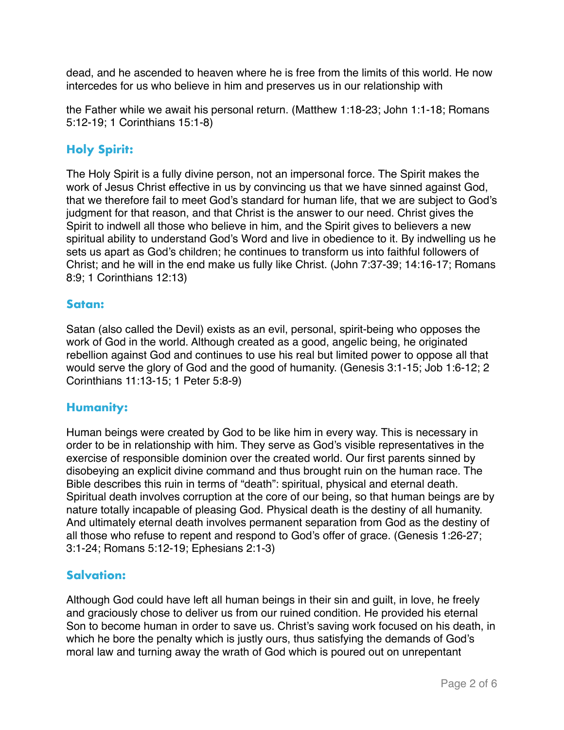dead, and he ascended to heaven where he is free from the limits of this world. He now intercedes for us who believe in him and preserves us in our relationship with

the Father while we await his personal return. (Matthew 1:18-23; John 1:1-18; Romans 5:12-19; 1 Corinthians 15:1-8)

## **Holy Spirit:**

The Holy Spirit is a fully divine person, not an impersonal force. The Spirit makes the work of Jesus Christ effective in us by convincing us that we have sinned against God, that we therefore fail to meet God's standard for human life, that we are subject to God's judgment for that reason, and that Christ is the answer to our need. Christ gives the Spirit to indwell all those who believe in him, and the Spirit gives to believers a new spiritual ability to understand God's Word and live in obedience to it. By indwelling us he sets us apart as God's children; he continues to transform us into faithful followers of Christ; and he will in the end make us fully like Christ. (John 7:37-39; 14:16-17; Romans 8:9; 1 Corinthians 12:13)

#### **Satan:**

Satan (also called the Devil) exists as an evil, personal, spirit-being who opposes the work of God in the world. Although created as a good, angelic being, he originated rebellion against God and continues to use his real but limited power to oppose all that would serve the glory of God and the good of humanity. (Genesis 3:1-15; Job 1:6-12; 2 Corinthians 11:13-15; 1 Peter 5:8-9)

#### **Humanity:**

Human beings were created by God to be like him in every way. This is necessary in order to be in relationship with him. They serve as God's visible representatives in the exercise of responsible dominion over the created world. Our first parents sinned by disobeying an explicit divine command and thus brought ruin on the human race. The Bible describes this ruin in terms of "death": spiritual, physical and eternal death. Spiritual death involves corruption at the core of our being, so that human beings are by nature totally incapable of pleasing God. Physical death is the destiny of all humanity. And ultimately eternal death involves permanent separation from God as the destiny of all those who refuse to repent and respond to God's offer of grace. (Genesis 1:26-27; 3:1-24; Romans 5:12-19; Ephesians 2:1-3)

#### **Salvation:**

Although God could have left all human beings in their sin and guilt, in love, he freely and graciously chose to deliver us from our ruined condition. He provided his eternal Son to become human in order to save us. Christ's saving work focused on his death, in which he bore the penalty which is justly ours, thus satisfying the demands of God's moral law and turning away the wrath of God which is poured out on unrepentant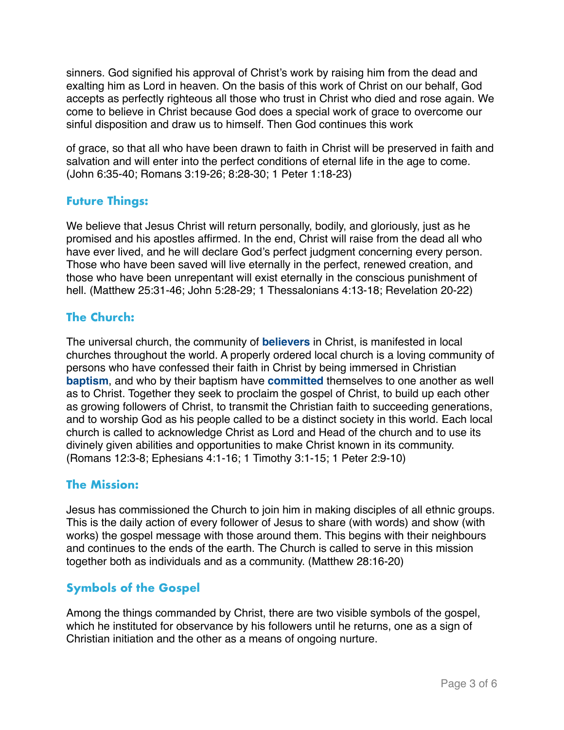sinners. God signified his approval of Christ's work by raising him from the dead and exalting him as Lord in heaven. On the basis of this work of Christ on our behalf, God accepts as perfectly righteous all those who trust in Christ who died and rose again. We come to believe in Christ because God does a special work of grace to overcome our sinful disposition and draw us to himself. Then God continues this work

of grace, so that all who have been drawn to faith in Christ will be preserved in faith and salvation and will enter into the perfect conditions of eternal life in the age to come. (John 6:35-40; Romans 3:19-26; 8:28-30; 1 Peter 1:18-23)

## **Future Things:**

We believe that Jesus Christ will return personally, bodily, and gloriously, just as he promised and his apostles affirmed. In the end, Christ will raise from the dead all who have ever lived, and he will declare God's perfect judgment concerning every person. Those who have been saved will live eternally in the perfect, renewed creation, and those who have been unrepentant will exist eternally in the conscious punishment of hell. (Matthew 25:31-46; John 5:28-29; 1 Thessalonians 4:13-18; Revelation 20-22)

## **The Church:**

The universal church, the community of **believers** in Christ, is manifested in local churches throughout the world. A properly ordered local church is a loving community of persons who have confessed their faith in Christ by being immersed in Christian **baptism**, and who by their baptism have **committed** themselves to one another as well as to Christ. Together they seek to proclaim the gospel of Christ, to build up each other as growing followers of Christ, to transmit the Christian faith to succeeding generations, and to worship God as his people called to be a distinct society in this world. Each local church is called to acknowledge Christ as Lord and Head of the church and to use its divinely given abilities and opportunities to make Christ known in its community. (Romans 12:3-8; Ephesians 4:1-16; 1 Timothy 3:1-15; 1 Peter 2:9-10)

## **The Mission:**

Jesus has commissioned the Church to join him in making disciples of all ethnic groups. This is the daily action of every follower of Jesus to share (with words) and show (with works) the gospel message with those around them. This begins with their neighbours and continues to the ends of the earth. The Church is called to serve in this mission together both as individuals and as a community. (Matthew 28:16-20)

## **Symbols of the Gospel**

Among the things commanded by Christ, there are two visible symbols of the gospel, which he instituted for observance by his followers until he returns, one as a sign of Christian initiation and the other as a means of ongoing nurture.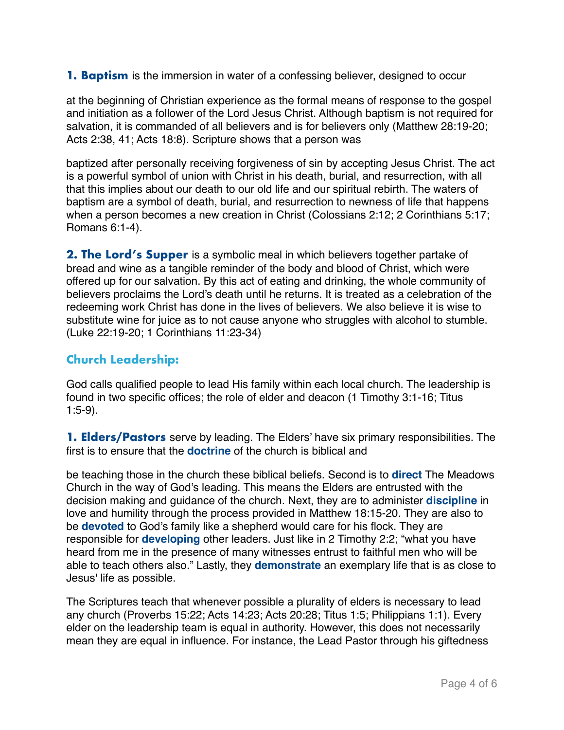**1. Baptism** is the immersion in water of a confessing believer, designed to occur

at the beginning of Christian experience as the formal means of response to the gospel and initiation as a follower of the Lord Jesus Christ. Although baptism is not required for salvation, it is commanded of all believers and is for believers only (Matthew 28:19-20; Acts 2:38, 41; Acts 18:8). Scripture shows that a person was

baptized after personally receiving forgiveness of sin by accepting Jesus Christ. The act is a powerful symbol of union with Christ in his death, burial, and resurrection, with all that this implies about our death to our old life and our spiritual rebirth. The waters of baptism are a symbol of death, burial, and resurrection to newness of life that happens when a person becomes a new creation in Christ (Colossians 2:12; 2 Corinthians 5:17; Romans 6:1-4).

**2. The Lord's Supper** is a symbolic meal in which believers together partake of bread and wine as a tangible reminder of the body and blood of Christ, which were offered up for our salvation. By this act of eating and drinking, the whole community of believers proclaims the Lord's death until he returns. It is treated as a celebration of the redeeming work Christ has done in the lives of believers. We also believe it is wise to substitute wine for juice as to not cause anyone who struggles with alcohol to stumble. (Luke 22:19-20; 1 Corinthians 11:23-34)

## **Church Leadership:**

God calls qualified people to lead His family within each local church. The leadership is found in two specific offices; the role of elder and deacon (1 Timothy 3:1-16; Titus 1:5-9).

**1. Elders/Pastors** serve by leading. The Elders' have six primary responsibilities. The first is to ensure that the **doctrine** of the church is biblical and

be teaching those in the church these biblical beliefs. Second is to **direct** The Meadows Church in the way of God's leading. This means the Elders are entrusted with the decision making and guidance of the church. Next, they are to administer **discipline** in love and humility through the process provided in Matthew 18:15-20. They are also to be **devoted** to God's family like a shepherd would care for his flock. They are responsible for **developing** other leaders. Just like in 2 Timothy 2:2; "what you have heard from me in the presence of many witnesses entrust to faithful men who will be able to teach others also." Lastly, they **demonstrate** an exemplary life that is as close to Jesus' life as possible.

The Scriptures teach that whenever possible a plurality of elders is necessary to lead any church (Proverbs 15:22; Acts 14:23; Acts 20:28; Titus 1:5; Philippians 1:1). Every elder on the leadership team is equal in authority. However, this does not necessarily mean they are equal in influence. For instance, the Lead Pastor through his giftedness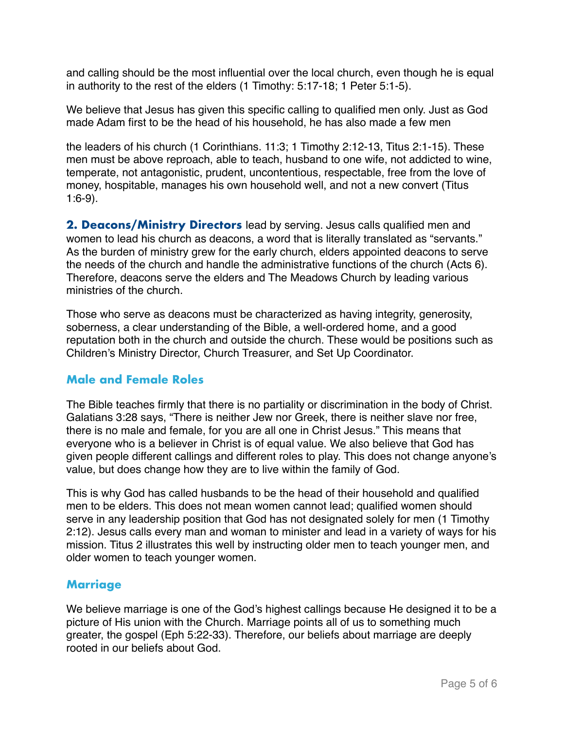and calling should be the most influential over the local church, even though he is equal in authority to the rest of the elders (1 Timothy: 5:17-18; 1 Peter 5:1-5).

We believe that Jesus has given this specific calling to qualified men only. Just as God made Adam first to be the head of his household, he has also made a few men

the leaders of his church (1 Corinthians. 11:3; 1 Timothy 2:12-13, Titus 2:1-15). These men must be above reproach, able to teach, husband to one wife, not addicted to wine, temperate, not antagonistic, prudent, uncontentious, respectable, free from the love of money, hospitable, manages his own household well, and not a new convert (Titus 1:6-9).

**2. Deacons/Ministry Directors** lead by serving. Jesus calls qualified men and women to lead his church as deacons, a word that is literally translated as "servants." As the burden of ministry grew for the early church, elders appointed deacons to serve the needs of the church and handle the administrative functions of the church (Acts 6). Therefore, deacons serve the elders and The Meadows Church by leading various ministries of the church.

Those who serve as deacons must be characterized as having integrity, generosity, soberness, a clear understanding of the Bible, a well-ordered home, and a good reputation both in the church and outside the church. These would be positions such as Children's Ministry Director, Church Treasurer, and Set Up Coordinator.

#### **Male and Female Roles**

The Bible teaches firmly that there is no partiality or discrimination in the body of Christ. Galatians 3:28 says, "There is neither Jew nor Greek, there is neither slave nor free, there is no male and female, for you are all one in Christ Jesus." This means that everyone who is a believer in Christ is of equal value. We also believe that God has given people different callings and different roles to play. This does not change anyone's value, but does change how they are to live within the family of God.

This is why God has called husbands to be the head of their household and qualified men to be elders. This does not mean women cannot lead; qualified women should serve in any leadership position that God has not designated solely for men (1 Timothy 2:12). Jesus calls every man and woman to minister and lead in a variety of ways for his mission. Titus 2 illustrates this well by instructing older men to teach younger men, and older women to teach younger women.

## **Marriage**

We believe marriage is one of the God's highest callings because He designed it to be a picture of His union with the Church. Marriage points all of us to something much greater, the gospel (Eph 5:22-33). Therefore, our beliefs about marriage are deeply rooted in our beliefs about God.